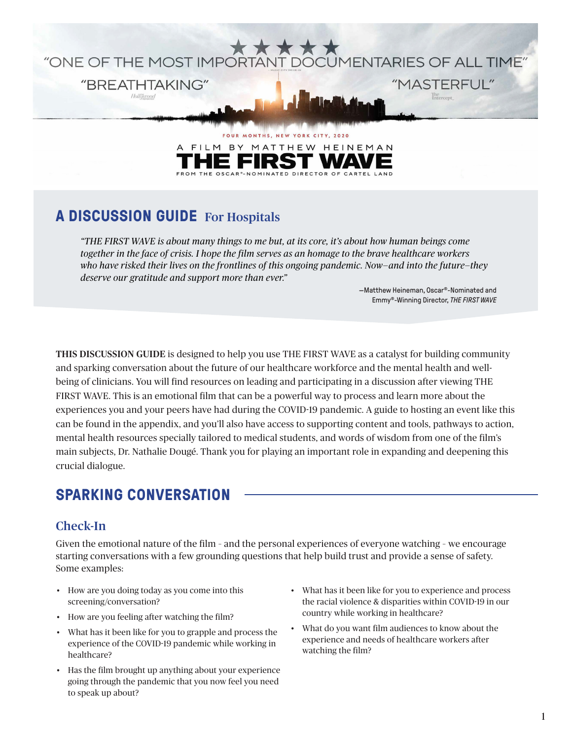

OSCAR<sup>®</sup>-NOMINATED DIRECTOR OF CARTEL LAND

**A DISCUSSION GUIDE** For Hospitals

*"THE FIRST WAVE is about many things to me but, at its core, it's about how human beings come together in the face of crisis. I hope the film serves as an homage to the brave healthcare workers who have risked their lives on the frontlines of this ongoing pandemic. Now—and into the future—they deserve our gratitude and support more than ever."*

> —Matthew Heineman, Oscar®-Nominated and Emmy®-Winning Director, *THE FIRST WAVE*

THIS DISCUSSION GUIDE is designed to help you use THE FIRST WAVE as a catalyst for building community and sparking conversation about the future of our healthcare workforce and the mental health and wellbeing of clinicians. You will find resources on leading and participating in a discussion after viewing THE FIRST WAVE. This is an emotional film that can be a powerful way to process and learn more about the experiences you and your peers have had during the COVID-19 pandemic. A guide to hosting an event like this can be found in the appendix, and you'll also have access to supporting content and tools, pathways to action, mental health resources specially tailored to medical students, and words of wisdom from one of the film's main subjects, Dr. Nathalie Dougé. Thank you for playing an important role in expanding and deepening this crucial dialogue.

# **SPARKING CONVERSATION**

## Check-In

Given the emotional nature of the film – and the personal experiences of everyone watching – we encourage starting conversations with a few grounding questions that help build trust and provide a sense of safety. Some examples:

- How are you doing today as you come into this screening/conversation?
- How are you feeling after watching the film?
- What has it been like for you to grapple and process the experience of the COVID-19 pandemic while working in healthcare?
- Has the film brought up anything about your experience going through the pandemic that you now feel you need to speak up about?
- What has it been like for you to experience and process the racial violence & disparities within COVID-19 in our country while working in healthcare?
- What do you want film audiences to know about the experience and needs of healthcare workers after watching the film?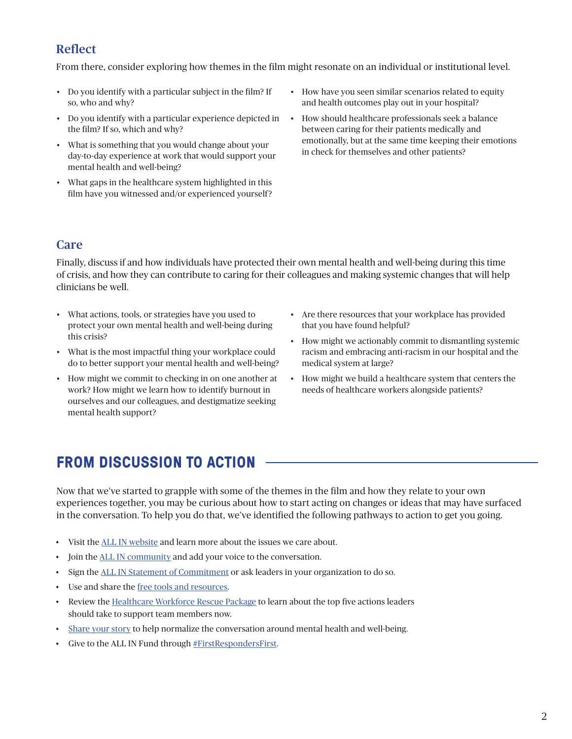# Reflect

From there, consider exploring how themes in the film might resonate on an individual or institutional level.

- Do you identify with a particular subject in the film? If so, who and why?
- Do you identify with a particular experience depicted in the film? If so, which and why?
- What is something that you would change about your day-to-day experience at work that would support your mental health and well-being?
- What gaps in the healthcare system highlighted in this film have you witnessed and/or experienced yourself?
- How have you seen similar scenarios related to equity and health outcomes play out in your hospital?
- How should healthcare professionals seek a balance between caring for their patients medically and emotionally, but at the same time keeping their emotions in check for themselves and other patients?

## Care

Finally, discuss if and how individuals have protected their own mental health and well-being during this time of crisis, and how they can contribute to caring for their colleagues and making systemic changes that will help clinicians be well.

- What actions, tools, or strategies have you used to protect your own mental health and well-being during this crisis?
- What is the most impactful thing your workplace could do to better support your mental health and well-being?
- How might we commit to checking in on one another at work? How might we learn how to identify burnout in ourselves and our colleagues, and destigmatize seeking mental health support?
- Are there resources that your workplace has provided that you have found helpful?
- How might we actionably commit to dismantling systemic racism and embracing anti-racism in our hospital and the medical system at large?
- How might we build a healthcare system that centers the needs of healthcare workers alongside patients?

# **FROM DISCUSSION TO ACTION**

Now that we've started to grapple with some of the themes in the film and how they relate to your own experiences together, you may be curious about how to start acting on changes or ideas that may have surfaced in the conversation. To help you do that, we've identified the following pathways to action to get you going.

- Visit the [ALL IN website](https://www.allinforhealthcare.org/) and learn more about the issues we care about.
- Join the [ALL IN community](http://allinforhealthcare.org) and add your voice to the conversation.
- Sign the [ALL IN Statement of Commitment](https://www.allinforhealthcare.org/articles/43-sign-statement-commitment) or ask leaders in your organization to do so.
- Use and share the [free tools and resources.](https://www.allinforhealthcare.org/profiles/resilience-library)
- Review the [Healthcare Workforce Rescue Package](https://www.allinforhealthcare.org/issues/2022-healthcare-workforce-rescue-package) to learn about the top five actions leaders should take to support team members now.
- [Share your story](https://www.allinforhealthcare.org/articles/83-healthcare-workers-share-story) to help normalize the conversation around mental health and well-being.
- Give to the ALL IN Fund through [#FirstRespondersFirst](https://thriveglobal.com/categories/first-responders-first/?element=XPGUTLKY&form=FUNSSDTRHDJ).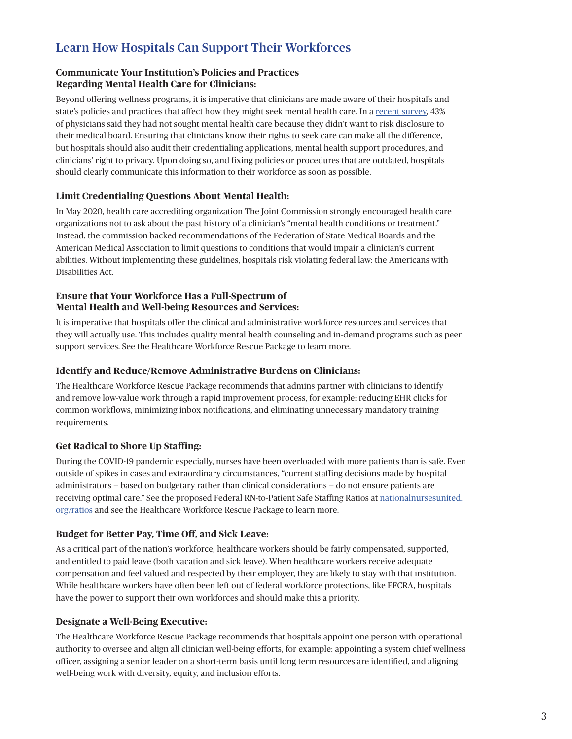# Learn How Hospitals Can Support Their Workforces

#### **Communicate Your Institution's Policies and Practices Regarding Mental Health Care for Clinicians:**

Beyond offering wellness programs, it is imperative that clinicians are made aware of their hospital's and state's policies and practices that affect how they might seek mental health care. In a [recent survey,](https://www.medscape.com/slideshow/2022-lifestyle-burnout-6014664?uac=85323SN&faf=1&sso=true&impID=3962382&src=wnl_physrep_220122_Burnout2022#24) 43% of physicians said they had not sought mental health care because they didn't want to risk disclosure to their medical board. Ensuring that clinicians know their rights to seek care can make all the difference, but hospitals should also audit their credentialing applications, mental health support procedures, and clinicians' right to privacy. Upon doing so, and fixing policies or procedures that are outdated, hospitals should clearly communicate this information to their workforce as soon as possible.

### **Limit Credentialing Questions About Mental Health:**

In May 2020, health care accrediting organization The Joint Commission strongly encouraged health care organizations not to ask about the past history of a clinician's "mental health conditions or treatment." Instead, the commission backed recommendations of the Federation of State Medical Boards and the American Medical Association to limit questions to conditions that would impair a clinician's current abilities. Without implementing these guidelines, hospitals risk violating federal law: the Americans with Disabilities Act.

#### **Ensure that Your Workforce Has a Full-Spectrum of Mental Health and Well-being Resources and Services:**

It is imperative that hospitals offer the clinical and administrative workforce resources and services that they will actually use. This includes quality mental health counseling and in-demand programs such as peer support services. See the Healthcare Workforce Rescue Package to learn more.

#### **Identify and Reduce/Remove Administrative Burdens on Clinicians:**

The Healthcare Workforce Rescue Package recommends that admins partner with clinicians to identify and remove low-value work through a rapid improvement process, for example: reducing EHR clicks for common workflows, minimizing inbox notifications, and eliminating unnecessary mandatory training requirements.

### **Get Radical to Shore Up Staffing:**

During the COVID-19 pandemic especially, nurses have been overloaded with more patients than is safe. Even outside of spikes in cases and extraordinary circumstances, "current staffing decisions made by hospital administrators — based on budgetary rather than clinical considerations — do not ensure patients are receiving optimal care." See the proposed Federal RN-to-Patient Safe Staffing Ratios at [nationalnursesunited.](https://www.nationalnursesunited.org/ratios) [org/ratios](https://www.nationalnursesunited.org/ratios) and see the Healthcare Workforce Rescue Package to learn more.

### **Budget for Better Pay, Time Off, and Sick Leave:**

As a critical part of the nation's workforce, healthcare workers should be fairly compensated, supported, and entitled to paid leave (both vacation and sick leave). When healthcare workers receive adequate compensation and feel valued and respected by their employer, they are likely to stay with that institution. While healthcare workers have often been left out of federal workforce protections, like FFCRA, hospitals have the power to support their own workforces and should make this a priority.

#### **Designate a Well-Being Executive:**

The Healthcare Workforce Rescue Package recommends that hospitals appoint one person with operational authority to oversee and align all clinician well-being efforts, for example: appointing a system chief wellness officer, assigning a senior leader on a short-term basis until long term resources are identified, and aligning well-being work with diversity, equity, and inclusion efforts.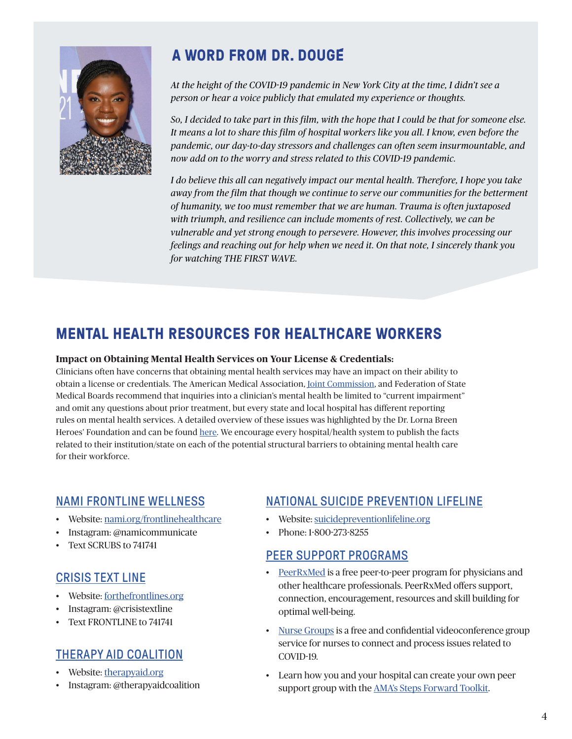

# **A WORD FROM DR. DOUGE**

*At the height of the COVID-19 pandemic in New York City at the time, I didn't see a person or hear a voice publicly that emulated my experience or thoughts.*

*So, I decided to take part in this film, with the hope that I could be that for someone else. It means a lot to share this film of hospital workers like you all. I know, even before the pandemic, our day-to-day stressors and challenges can often seem insurmountable, and now add on to the worry and stress related to this COVID-19 pandemic.*

*I do believe this all can negatively impact our mental health. Therefore, I hope you take away from the film that though we continue to serve our communities for the betterment of humanity, we too must remember that we are human. Trauma is often juxtaposed with triumph, and resilience can include moments of rest. Collectively, we can be vulnerable and yet strong enough to persevere. However, this involves processing our feelings and reaching out for help when we need it. On that note, I sincerely thank you for watching THE FIRST WAVE.*

# **MENTAL HEALTH RESOURCES FOR HEALTHCARE WORKERS**

#### **Impact on Obtaining Mental Health Services on Your License & Credentials:**

Clinicians often have concerns that obtaining mental health services may have an impact on their ability to obtain a license or credentials. The American Medical Association, [Joint Commission,](https://www.jointcommission.org/-/media/tjc/documents/covid19/statement-on-removing-barriers-to-mental-health-care-for-clinicians-and-health-care-staff.pdf) and Federation of State Medical Boards recommend that inquiries into a clinician's mental health be limited to "current impairment" and omit any questions about prior treatment, but every state and local hospital has different reporting rules on mental health services. A detailed overview of these issues was highlighted by the Dr. Lorna Breen Heroes' Foundation and can be found [here](https://www.usnews.com/news/health-news/articles/2021-09-09/change-the-system-to-help-doctors-get-mental-health-care). We encourage every hospital/health system to publish the facts related to their institution/state on each of the potential structural barriers to obtaining mental health care for their workforce.

## [NAMI FRONTLINE WELLNESS](http://www.nami.org)

- Website: [nami.org/frontlinehealthcare](http://www.nami.org/frontlinehealthcare )
- Instagram: @namicommunicate
- Text SCRUBS to 741741

## [CRISIS TEXT LINE](https://www.forthefrontlines.org/)

- Website: [forthefrontlines.org](http://forthefrontlines.org)
- Instagram: @crisistextline
- Text FRONTLINE to 741741

# [THERAPY AID COALITION](http://www.therapyaid.org/)

- Website: [therapyaid.org](http://therapyaid.org)
- Instagram: @therapyaidcoalition

# [NATIONAL SUICIDE PREVENTION LIFELINE](https://suicidepreventionlifeline.org/)

- Website: [suicidepreventionlifeline.org](http://suicidepreventionlifeline.org)
- Phone: 1-800-273-8255

## PEER SUPPORT PROGRAMS

- [PeerRxMed](https://www.peerrxmed.com/) is a free peer-to-peer program for physicians and other healthcare professionals. PeerRxMed offers support, connection, encouragement, resources and skill building for optimal well-being.
- [Nurse Groups](https://nursegroups.org/) is a free and confidential videoconference group service for nurses to connect and process issues related to COVID-19.
- Learn how you and your hospital can create your own peer support group with the **AMA's Steps Forward Toolkit**.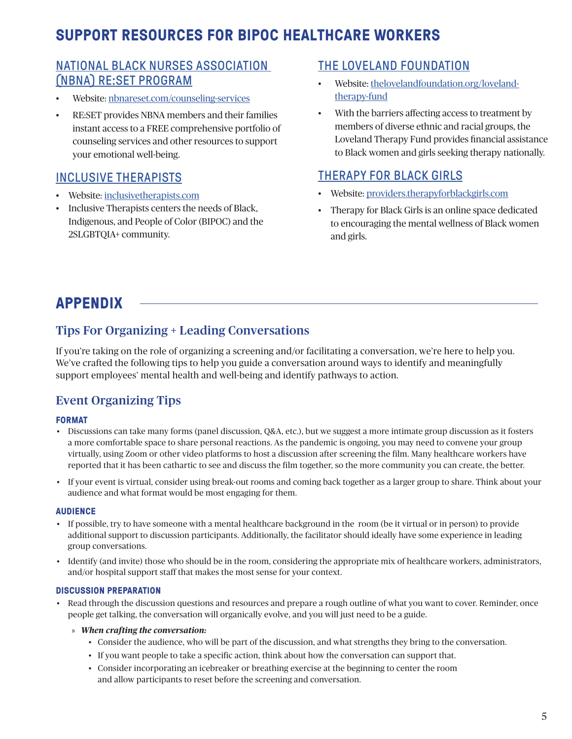# **SUPPORT RESOURCES FOR BIPOC HEALTHCARE WORKERS**

## [NATIONAL BLACK NURSES ASSOCIATION](http://nbnareset.com/counseling-services)  [\(NBNA\) RE:SET PROGRAM](http://nbnareset.com/counseling-services)

- Website: [nbnareset.com/counseling-services](https://www.nbnareset.com/counseling-services)
- RE:SET provides NBNA members and their families instant access to a FREE comprehensive portfolio of counseling services and other resources to support your emotional well-being.

## [INCLUSIVE THERAPISTS](http://inclusivetherapists.com)

- Website: [inclusivetherapists.com](http://www.inclusivetherapists.com)
- Inclusive Therapists centers the needs of Black, Indigenous, and People of Color (BIPOC) and the 2SLGBTQIA+ community.

## [THE LOVELAND FOUNDATION](http://thelovelandfoundation.org/loveland-therapy-fund)

- Website: [thelovelandfoundation.org/loveland](http://thelovelandfoundation.org/loveland-therapy-fund)[therapy-fund](http://thelovelandfoundation.org/loveland-therapy-fund)
- With the barriers affecting access to treatment by members of diverse ethnic and racial groups, the Loveland Therapy Fund provides financial assistance to Black women and girls seeking therapy nationally.

## [THERAPY FOR BLACK GIRLS](http://providers.therapyforblackgirls.com)

- Website: [providers.therapyforblackgirls.com](http://providers.therapyforblackgirls.com)
- Therapy for Black Girls is an online space dedicated to encouraging the mental wellness of Black women and girls.

# **APPENDIX**

# Tips For Organizing + Leading Conversations

If you're taking on the role of organizing a screening and/or facilitating a conversation, we're here to help you. We've crafted the following tips to help you guide a conversation around ways to identify and meaningfully support employees' mental health and well-being and identify pathways to action.

## Event Organizing Tips

### **FORMAT**

- Discussions can take many forms (panel discussion, Q&A, etc.), but we suggest a more intimate group discussion as it fosters a more comfortable space to share personal reactions. As the pandemic is ongoing, you may need to convene your group virtually, using Zoom or other video platforms to host a discussion after screening the film. Many healthcare workers have reported that it has been cathartic to see and discuss the film together, so the more community you can create, the better.
- If your event is virtual, consider using break-out rooms and coming back together as a larger group to share. Think about your audience and what format would be most engaging for them.

#### **AUDIENCE**

- If possible, try to have someone with a mental healthcare background in the room (be it virtual or in person) to provide additional support to discussion participants. Additionally, the facilitator should ideally have some experience in leading group conversations.
- Identify (and invite) those who should be in the room, considering the appropriate mix of healthcare workers, administrators, and/or hospital support staff that makes the most sense for your context.

### **DISCUSSION PREPARATION**

- Read through the discussion questions and resources and prepare a rough outline of what you want to cover. Reminder, once people get talking, the conversation will organically evolve, and you will just need to be a guide.
	- » *When crafting the conversation:*
		- Consider the audience, who will be part of the discussion, and what strengths they bring to the conversation.
		- If you want people to take a specific action, think about how the conversation can support that.
		- Consider incorporating an icebreaker or breathing exercise at the beginning to center the room and allow participants to reset before the screening and conversation.